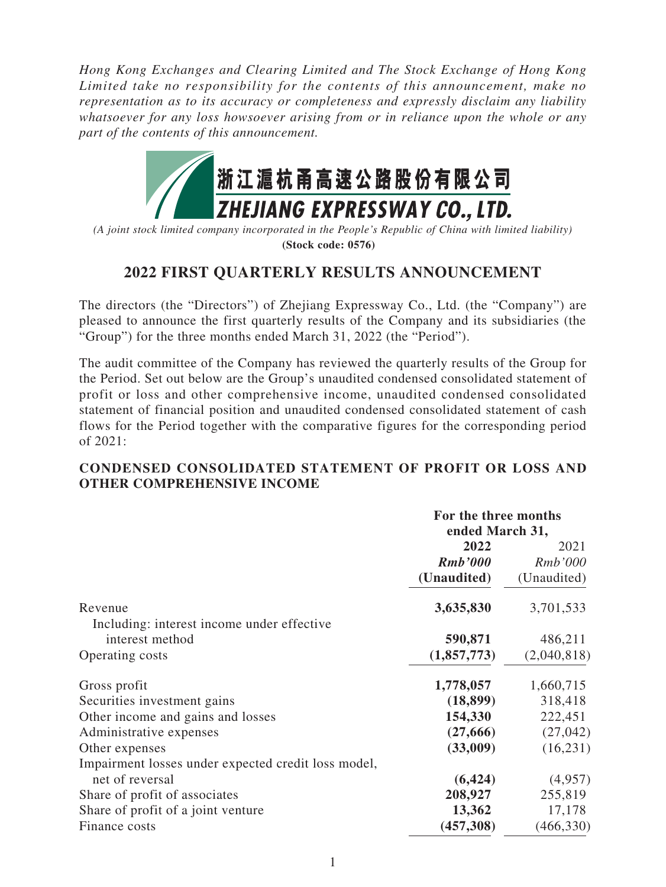*Hong Kong Exchanges and Clearing Limited and The Stock Exchange of Hong Kong Limited take no responsibility for the contents of this announcement, make no representation as to its accuracy or completeness and expressly disclaim any liability whatsoever for any loss howsoever arising from or in reliance upon the whole or any part of the contents of this announcement.*



*(A joint stock limited company incorporated in the People's Republic of China with limited liability)* **(Stock code: 0576)**

## **2022 FIRST QUARTERLY RESULTS ANNOUNCEMENT**

The directors (the "Directors") of Zhejiang Expressway Co., Ltd. (the "Company") are pleased to announce the first quarterly results of the Company and its subsidiaries (the "Group") for the three months ended March 31, 2022 (the "Period").

The audit committee of the Company has reviewed the quarterly results of the Group for the Period. Set out below are the Group's unaudited condensed consolidated statement of profit or loss and other comprehensive income, unaudited condensed consolidated statement of financial position and unaudited condensed consolidated statement of cash flows for the Period together with the comparative figures for the corresponding period of 2021:

## **CONDENSED CONSOLIDATED STATEMENT OF PROFIT OR LOSS AND OTHER COMPREHENSIVE INCOME**

|                                                     | For the three months<br>ended March 31, |             |
|-----------------------------------------------------|-----------------------------------------|-------------|
|                                                     | 2022                                    | 2021        |
|                                                     | <b>Rmb</b> '000                         | Rmb'000     |
|                                                     | (Unaudited)                             | (Unaudited) |
| Revenue                                             | 3,635,830                               | 3,701,533   |
| Including: interest income under effective          |                                         |             |
| interest method                                     | 590,871                                 | 486,211     |
| Operating costs                                     | (1,857,773)                             | (2,040,818) |
| Gross profit                                        | 1,778,057                               | 1,660,715   |
| Securities investment gains                         | (18, 899)                               | 318,418     |
| Other income and gains and losses                   | 154,330                                 | 222,451     |
| Administrative expenses                             | (27,666)                                | (27, 042)   |
| Other expenses                                      | (33,009)                                | (16, 231)   |
| Impairment losses under expected credit loss model, |                                         |             |
| net of reversal                                     | (6, 424)                                | (4,957)     |
| Share of profit of associates                       | 208,927                                 | 255,819     |
| Share of profit of a joint venture                  | 13,362                                  | 17,178      |
| Finance costs                                       | (457,308)                               | (466, 330)  |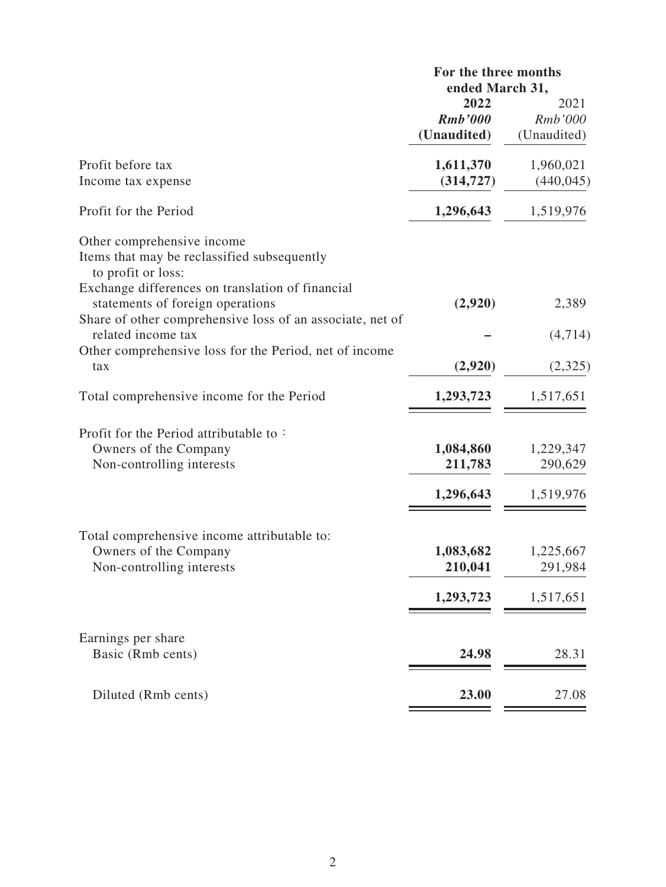|                                                                                                                                                                                                                                                                            | For the three months<br>ended March 31, |                                   |
|----------------------------------------------------------------------------------------------------------------------------------------------------------------------------------------------------------------------------------------------------------------------------|-----------------------------------------|-----------------------------------|
|                                                                                                                                                                                                                                                                            | 2022<br><b>Rmb</b> '000<br>(Unaudited)  | 2021<br>Rmb'000<br>(Unaudited)    |
| Profit before tax<br>Income tax expense                                                                                                                                                                                                                                    | 1,611,370<br>(314, 727)                 | 1,960,021<br>(440, 045)           |
| Profit for the Period                                                                                                                                                                                                                                                      | 1,296,643                               | 1,519,976                         |
| Other comprehensive income<br>Items that may be reclassified subsequently<br>to profit or loss:<br>Exchange differences on translation of financial<br>statements of foreign operations<br>Share of other comprehensive loss of an associate, net of<br>related income tax | (2,920)                                 | 2,389<br>(4,714)                  |
| Other comprehensive loss for the Period, net of income<br>tax                                                                                                                                                                                                              | (2,920)                                 | (2,325)                           |
| Total comprehensive income for the Period                                                                                                                                                                                                                                  | 1,293,723                               | 1,517,651                         |
| Profit for the Period attributable to:<br>Owners of the Company<br>Non-controlling interests                                                                                                                                                                               | 1,084,860<br>211,783<br>1,296,643       | 1,229,347<br>290,629<br>1,519,976 |
| Total comprehensive income attributable to:<br>Owners of the Company<br>Non-controlling interests                                                                                                                                                                          | 1,083,682<br>210,041<br>1,293,723       | 1,225,667<br>291,984<br>1,517,651 |
| Earnings per share<br>Basic (Rmb cents)                                                                                                                                                                                                                                    | 24.98                                   | 28.31                             |
| Diluted (Rmb cents)                                                                                                                                                                                                                                                        | 23.00                                   | 27.08                             |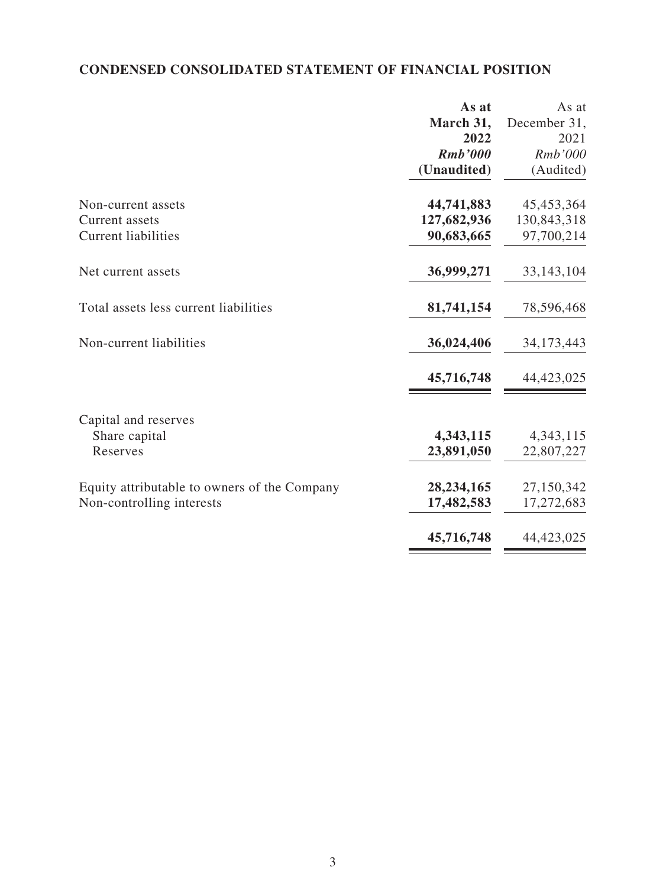## **CONDENSED CONSOLIDATED STATEMENT OF FINANCIAL POSITION**

|                                              | As at       | As at        |
|----------------------------------------------|-------------|--------------|
|                                              | March 31,   | December 31, |
|                                              | 2022        | 2021         |
|                                              | Rmb'000     | Rmb'000      |
|                                              | (Unaudited) | (Audited)    |
| Non-current assets                           | 44,741,883  | 45,453,364   |
| Current assets                               | 127,682,936 | 130,843,318  |
| <b>Current liabilities</b>                   | 90,683,665  | 97,700,214   |
| Net current assets                           | 36,999,271  | 33, 143, 104 |
| Total assets less current liabilities        | 81,741,154  | 78,596,468   |
| Non-current liabilities                      | 36,024,406  | 34, 173, 443 |
|                                              | 45,716,748  | 44,423,025   |
| Capital and reserves                         |             |              |
| Share capital                                | 4,343,115   | 4, 343, 115  |
| Reserves                                     | 23,891,050  | 22,807,227   |
| Equity attributable to owners of the Company | 28,234,165  | 27,150,342   |
| Non-controlling interests                    | 17,482,583  | 17,272,683   |
|                                              | 45,716,748  | 44,423,025   |
|                                              |             |              |